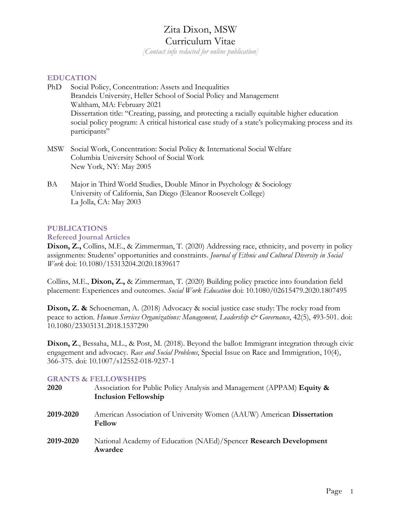# Zita Dixon, MSW

## Curriculum Vitae

*[Contact info redacted for online publication]*

#### **EDUCATION**

- PhD Social Policy, Concentration: Assets and Inequalities Brandeis University, Heller School of Social Policy and Management Waltham, MA: February 2021 Dissertation title: "Creating, passing, and protecting a racially equitable higher education social policy program: A critical historical case study of a state's policymaking process and its participants"
- MSW Social Work, Concentration: Social Policy & International Social Welfare Columbia University School of Social Work New York, NY: May 2005
- BA Major in Third World Studies, Double Minor in Psychology & Sociology University of California, San Diego (Eleanor Roosevelt College) La Jolla, CA: May 2003

## **PUBLICATIONS**

#### **Refereed Journal Articles**

**Dixon, Z.,** Collins, M.E., & Zimmerman, T. (2020) Addressing race, ethnicity, and poverty in policy assignments: Students' opportunities and constraints. *Journal of Ethnic and Cultural Diversity in Social Work* doi: 10.1080/15313204.2020.1839617

Collins, M.E., **Dixon, Z.,** & Zimmerman, T. (2020) Building policy practice into foundation field placement: Experiences and outcomes. *Social Work Education* doi: 10.1080/02615479.2020.1807495

**Dixon, Z. &** Schoeneman, A. (2018) Advocacy & social justice case study: The rocky road from peace to action. *Human Services Organizations: Management, Leadership & Governance*, 42(5), 493-501. doi: 10.1080/23303131.2018.1537290

**Dixon, Z**., Bessaha, M.L., & Post, M. (2018). Beyond the ballot: Immigrant integration through civic engagement and advocacy. *Race and Social Problems*, Special Issue on Race and Immigration, 10(4), 366-375. doi: 10.1007/s12552-018-9237-1

## **GRANTS & FELLOWSHIPS**

| 2020      | Association for Public Policy Analysis and Management (APPAM) Equity &<br><b>Inclusion Fellowship</b> |
|-----------|-------------------------------------------------------------------------------------------------------|
| 2019-2020 | American Association of University Women (AAUW) American Dissertation<br><b>Fellow</b>                |
| 2019-2020 | National Academy of Education (NAEd)/Spencer Research Development<br>Awardee                          |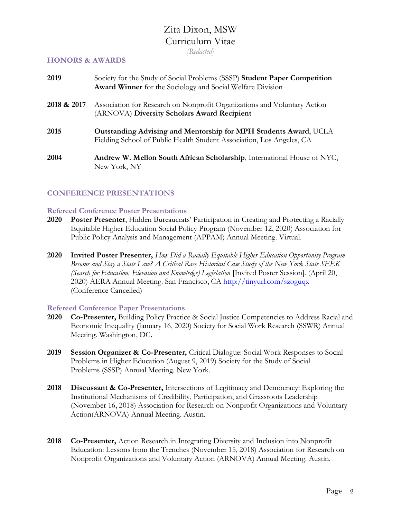*[Redacted]*

#### **HONORS & AWARDS**

| 2019        | Society for the Study of Social Problems (SSSP) Student Paper Competition<br><b>Award Winner</b> for the Sociology and Social Welfare Division   |
|-------------|--------------------------------------------------------------------------------------------------------------------------------------------------|
| 2018 & 2017 | Association for Research on Nonprofit Organizations and Voluntary Action<br>(ARNOVA) Diversity Scholars Award Recipient                          |
| 2015        | <b>Outstanding Advising and Mentorship for MPH Students Award, UCLA</b><br>Fielding School of Public Health Student Association, Los Angeles, CA |
| 2004        | Andrew W. Mellon South African Scholarship, International House of NYC,<br>New York, NY                                                          |

## **CONFERENCE PRESENTATIONS**

## **Refereed Conference Poster Presentations**

- **2020 Poster Presenter**, Hidden Bureaucrats' Participation in Creating and Protecting a Racially Equitable Higher Education Social Policy Program (November 12, 2020) Association for Public Policy Analysis and Management (APPAM) Annual Meeting. Virtual.
- **2020 Invited Poster Presenter,** *How Did a Racially Equitable Higher Education Opportunity Program Become and Stay a State Law? A Critical Race Historical Case Study of the New York State SEEK (Search for Education, Elevation and Knowledge) Legislation* [Invited Poster Session]. (April 20, 2020) AERA Annual Meeting. San Francisco, CA <http://tinyurl.com/szoguqx> (Conference Cancelled)

## **Refereed Conference Paper Presentations**

- **2020 Co-Presenter,** Building Policy Practice & Social Justice Competencies to Address Racial and Economic Inequality (January 16, 2020) Society for Social Work Research (SSWR) Annual Meeting. Washington, DC.
- **2019 Session Organizer & Co-Presenter,** Critical Dialogue: Social Work Responses to Social Problems in Higher Education (August 9, 2019) Society for the Study of Social Problems (SSSP) Annual Meeting. New York.
- **2018 Discussant & Co-Presenter,** Intersections of Legitimacy and Democracy: Exploring the Institutional Mechanisms of Credibility, Participation, and Grassroots Leadership (November 16, 2018) Association for Research on Nonprofit Organizations and Voluntary Action(ARNOVA) Annual Meeting. Austin.
- **2018 Co-Presenter,** Action Research in Integrating Diversity and Inclusion into Nonprofit Education: Lessons from the Trenches (November 15, 2018) Association for Research on Nonprofit Organizations and Voluntary Action (ARNOVA) Annual Meeting. Austin.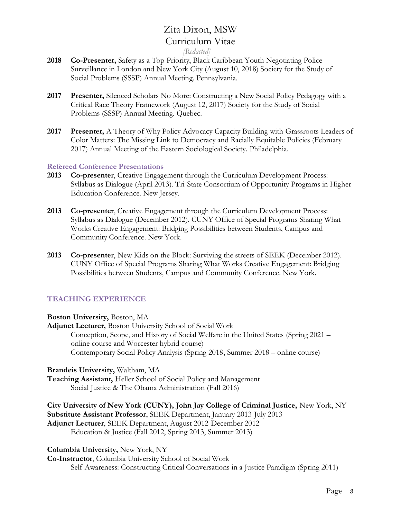#### *[Redacted]*

- **2018 Co-Presenter,** Safety as a Top Priority, Black Caribbean Youth Negotiating Police Surveillance in London and New York City (August 10, 2018) Society for the Study of Social Problems (SSSP) Annual Meeting. Pennsylvania.
- **2017 Presenter,** Silenced Scholars No More: Constructing a New Social Policy Pedagogy with a Critical Race Theory Framework (August 12, 2017) Society for the Study of Social Problems (SSSP) Annual Meeting. Quebec.
- **2017 Presenter,** A Theory of Why Policy Advocacy Capacity Building with Grassroots Leaders of Color Matters: The Missing Link to Democracy and Racially Equitable Policies (February 2017) Annual Meeting of the Eastern Sociological Society. Philadelphia.

#### **Refereed Conference Presentations**

- **2013 Co-presenter**, Creative Engagement through the Curriculum Development Process: Syllabus as Dialogue (April 2013). Tri-State Consortium of Opportunity Programs in Higher Education Conference. New Jersey.
- **2013 Co-presenter**, Creative Engagement through the Curriculum Development Process: Syllabus as Dialogue (December 2012). CUNY Office of Special Programs Sharing What Works Creative Engagement: Bridging Possibilities between Students, Campus and Community Conference. New York.
- **2013 Co-presenter**, New Kids on the Block: Surviving the streets of SEEK (December 2012). CUNY Office of Special Programs Sharing What Works Creative Engagement: Bridging Possibilities between Students, Campus and Community Conference. New York.

## **TEACHING EXPERIENCE**

**Boston University,** Boston, MA

**Adjunct Lecturer,** Boston University School of Social Work Conception, Scope, and History of Social Welfare in the United States (Spring 2021 – online course and Worcester hybrid course) Contemporary Social Policy Analysis (Spring 2018, Summer 2018 – online course)

**Brandeis University,** Waltham, MA

**Teaching Assistant,** Heller School of Social Policy and Management Social Justice & The Obama Administration (Fall 2016)

**City University of New York (CUNY), John Jay College of Criminal Justice,** New York, NY **Substitute Assistant Professor**, SEEK Department, January 2013-July 2013 **Adjunct Lecturer**, SEEK Department, August 2012-December 2012 Education & Justice (Fall 2012, Spring 2013, Summer 2013)

**Columbia University,** New York, NY

**Co-Instructor**, Columbia University School of Social Work Self-Awareness: Constructing Critical Conversations in a Justice Paradigm (Spring 2011)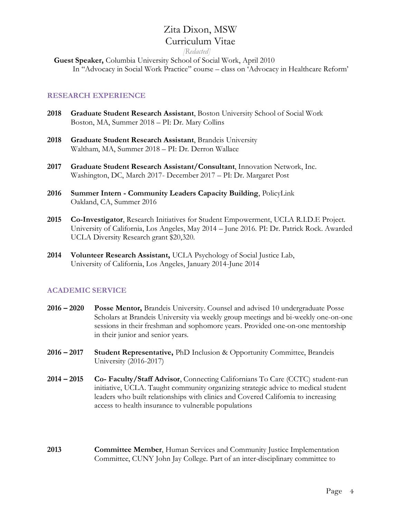*[Redacted]*

 **Guest Speaker,** Columbia University School of Social Work, April 2010 In "Advocacy in Social Work Practice" course – class on 'Advocacy in Healthcare Reform'

## **RESEARCH EXPERIENCE**

- **2018 Graduate Student Research Assistant**, Boston University School of Social Work Boston, MA, Summer 2018 – PI: Dr. Mary Collins
- **2018 Graduate Student Research Assistant**, Brandeis University Waltham, MA, Summer 2018 – PI: Dr. Derron Wallace
- **2017 Graduate Student Research Assistant/Consultant**, Innovation Network, Inc. Washington, DC, March 2017- December 2017 – PI: Dr. Margaret Post
- **2016 Summer Intern - Community Leaders Capacity Building**, PolicyLink Oakland, CA, Summer 2016
- **2015 Co-Investigator**, Research Initiatives for Student Empowerment, UCLA R.I.D.E Project. University of California, Los Angeles, May 2014 – June 2016. PI: Dr. Patrick Rock. Awarded UCLA Diversity Research grant \$20,320.
- **2014 Volunteer Research Assistant,** UCLA Psychology of Social Justice Lab, University of California, Los Angeles, January 2014-June 2014

## **ACADEMIC SERVICE**

- **2016 – 2020 Posse Mentor,** Brandeis University. Counsel and advised 10 undergraduate Posse Scholars at Brandeis University via weekly group meetings and bi-weekly one-on-one sessions in their freshman and sophomore years. Provided one-on-one mentorship in their junior and senior years.
- **2016 – 2017 Student Representative,** PhD Inclusion & Opportunity Committee, Brandeis University (2016-2017)
- **2014 – 2015 Co- Faculty/Staff Advisor**, Connecting Californians To Care (CCTC) student-run initiative, UCLA. Taught community organizing strategic advice to medical student leaders who built relationships with clinics and Covered California to increasing access to health insurance to vulnerable populations
- **2013 Committee Member**, Human Services and Community Justice Implementation Committee, CUNY John Jay College. Part of an inter-disciplinary committee to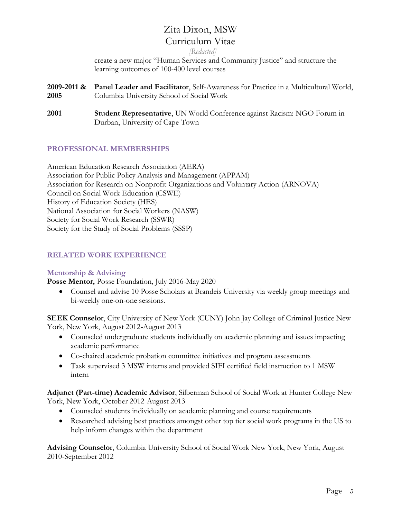*[Redacted]*

create a new major "Human Services and Community Justice" and structure the learning outcomes of 100-400 level courses

- **2009-2011 & Panel Leader and Facilitator**, Self-Awareness for Practice in a Multicultural World, **2005** Columbia University School of Social Work
- **2001 Student Representative**, UN World Conference against Racism: NGO Forum in Durban, University of Cape Town

## **PROFESSIONAL MEMBERSHIPS**

American Education Research Association (AERA) Association for Public Policy Analysis and Management (APPAM) Association for Research on Nonprofit Organizations and Voluntary Action (ARNOVA) Council on Social Work Education (CSWE) History of Education Society (HES) National Association for Social Workers (NASW) Society for Social Work Research (SSWR) Society for the Study of Social Problems (SSSP)

## **RELATED WORK EXPERIENCE**

## **Mentorship & Advising**

**Posse Mentor,** Posse Foundation, July 2016-May 2020

• Counsel and advise 10 Posse Scholars at Brandeis University via weekly group meetings and bi-weekly one-on-one sessions.

**SEEK Counselor**, City University of New York (CUNY) John Jay College of Criminal Justice New York, New York, August 2012-August 2013

- Counseled undergraduate students individually on academic planning and issues impacting academic performance
- Co-chaired academic probation committee initiatives and program assessments
- Task supervised 3 MSW interns and provided SIFI certified field instruction to 1 MSW intern

**Adjunct (Part-time) Academic Advisor**, Silberman School of Social Work at Hunter College New York, New York, October 2012-August 2013

- Counseled students individually on academic planning and course requirements
- Researched advising best practices amongst other top tier social work programs in the US to help inform changes within the department

**Advising Counselor**, Columbia University School of Social Work New York, New York, August 2010-September 2012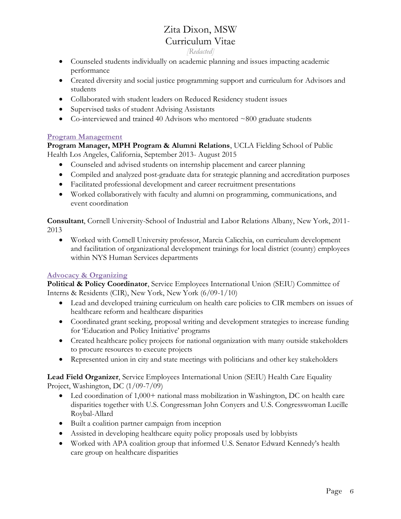- *[Redacted]*
- Counseled students individually on academic planning and issues impacting academic performance
- Created diversity and social justice programming support and curriculum for Advisors and students
- Collaborated with student leaders on Reduced Residency student issues
- Supervised tasks of student Advising Assistants
- Co-interviewed and trained 40 Advisors who mentored ~800 graduate students

## **Program Management**

**Program Manager, MPH Program & Alumni Relations**, UCLA Fielding School of Public Health Los Angeles, California, September 2013- August 2015

- Counseled and advised students on internship placement and career planning
- Compiled and analyzed post-graduate data for strategic planning and accreditation purposes
- Facilitated professional development and career recruitment presentations
- Worked collaboratively with faculty and alumni on programming, communications, and event coordination

**Consultant**, Cornell University-School of Industrial and Labor Relations Albany, New York, 2011- 2013

• Worked with Cornell University professor, Marcia Calicchia, on curriculum development and facilitation of organizational development trainings for local district (county) employees within NYS Human Services departments

## **Advocacy & Organizing**

**Political & Policy Coordinator**, Service Employees International Union (SEIU) Committee of Interns & Residents (CIR), New York, New York (6/09-1/10)

- Lead and developed training curriculum on health care policies to CIR members on issues of healthcare reform and healthcare disparities
- Coordinated grant seeking, proposal writing and development strategies to increase funding for 'Education and Policy Initiative' programs
- Created healthcare policy projects for national organization with many outside stakeholders to procure resources to execute projects
- Represented union in city and state meetings with politicians and other key stakeholders

**Lead Field Organizer**, Service Employees International Union (SEIU) Health Care Equality Project, Washington, DC (1/09-7/09)

- Led coordination of 1,000+ national mass mobilization in Washington, DC on health care disparities together with U.S. Congressman John Conyers and U.S. Congresswoman Lucille Roybal-Allard
- Built a coalition partner campaign from inception
- Assisted in developing healthcare equity policy proposals used by lobbyists
- Worked with APA coalition group that informed U.S. Senator Edward Kennedy's health care group on healthcare disparities